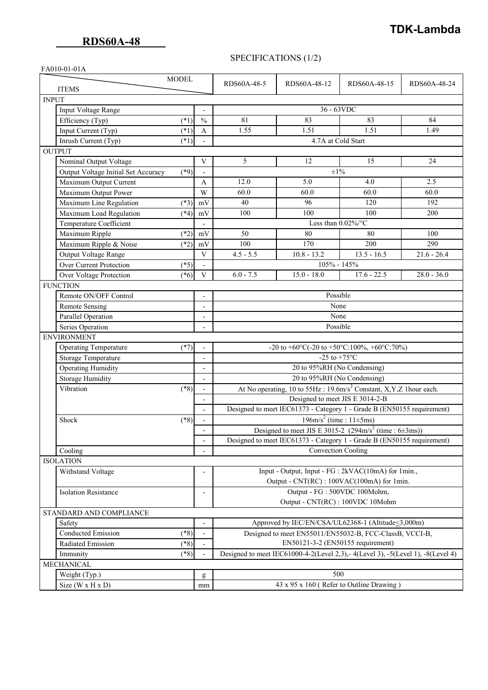## **TDK-Lambda**

## SPECIFICATIONS (1/2)

|  | FA010-01-01A |
|--|--------------|
|--|--------------|

| <b>MODEL</b>                                  |                          | RDS60A-48-5                                                                                                                                       | RDS60A-48-12                                         | RDS60A-48-15  | RDS60A-48-24  |  |  |
|-----------------------------------------------|--------------------------|---------------------------------------------------------------------------------------------------------------------------------------------------|------------------------------------------------------|---------------|---------------|--|--|
| <b>ITEMS</b>                                  |                          |                                                                                                                                                   |                                                      |               |               |  |  |
| <b>INPUT</b>                                  |                          |                                                                                                                                                   |                                                      |               |               |  |  |
| Input Voltage Range                           |                          |                                                                                                                                                   | 36 - 63VDC                                           |               |               |  |  |
| Efficiency (Typ)<br>$(*1)$                    | $\frac{0}{0}$            | 81                                                                                                                                                | 83                                                   | 83            | 84            |  |  |
| Input Current (Typ)<br>$(*1)$                 | $\mathbf{A}$             | 1.55                                                                                                                                              | 1.51                                                 | 1.51          | 1.49          |  |  |
| Inrush Current (Typ)<br>$(*1)$                |                          | 4.7A at Cold Start                                                                                                                                |                                                      |               |               |  |  |
| <b>OUTPUT</b>                                 |                          |                                                                                                                                                   |                                                      |               |               |  |  |
| Nominal Output Voltage                        | V                        | 5                                                                                                                                                 | 12                                                   | 15            | 24            |  |  |
| $(*9)$<br>Output Voltage Initial Set Accuracy |                          | $\pm 1\%$                                                                                                                                         |                                                      |               |               |  |  |
| Maximum Output Current                        | A                        | 12.0                                                                                                                                              | 5.0                                                  | 4.0           | 2.5           |  |  |
| Maximum Output Power                          | W                        | 60.0                                                                                                                                              | 60.0                                                 | 60.0          | 60.0          |  |  |
| Maximum Line Regulation<br>$(*3)$             | mV                       | 40                                                                                                                                                | 96                                                   | 120           | 192           |  |  |
| Maximum Load Regulation<br>$(*4)$             | mV                       | 100                                                                                                                                               | 100                                                  | 100           | 200           |  |  |
| Temperature Coefficient                       | $\overline{\phantom{a}}$ | Less than $0.02\%$ /°C                                                                                                                            |                                                      |               |               |  |  |
| Maximum Ripple<br>$(*2)$                      | mV                       | 50                                                                                                                                                | 80                                                   | 80            | 100           |  |  |
| Maximum Ripple & Noise<br>$(*2)$              | mV                       | 100                                                                                                                                               | 170                                                  | 200           | 290           |  |  |
| Output Voltage Range                          | $\mathbf{V}$             | $4.5 - 5.5$                                                                                                                                       | $10.8 - 13.2$                                        | $13.5 - 16.5$ | $21.6 - 26.4$ |  |  |
| Over Current Protection<br>$(*5)$             |                          | 105% - 145%                                                                                                                                       |                                                      |               |               |  |  |
| Over Voltage Protection<br>$(*6)$             | V                        | $6.0 - 7.5$                                                                                                                                       | $15.0 - 18.0$                                        | $17.6 - 22.5$ | $28.0 - 36.0$ |  |  |
| <b>FUNCTION</b>                               |                          |                                                                                                                                                   |                                                      |               |               |  |  |
| Remote ON/OFF Control                         |                          | Possible                                                                                                                                          |                                                      |               |               |  |  |
| <b>Remote Sensing</b>                         | $\overline{\phantom{a}}$ | None                                                                                                                                              |                                                      |               |               |  |  |
| Parallel Operation                            | $\overline{\phantom{a}}$ | None                                                                                                                                              |                                                      |               |               |  |  |
| Series Operation                              | $\overline{\phantom{a}}$ | Possible                                                                                                                                          |                                                      |               |               |  |  |
| <b>ENVIRONMENT</b>                            |                          |                                                                                                                                                   |                                                      |               |               |  |  |
| <b>Operating Temperature</b><br>$(*7)$        |                          | -20 to +60°C(-20 to +50°C:100%, +60°C:70%)                                                                                                        |                                                      |               |               |  |  |
| <b>Storage Temperature</b>                    |                          | -25 to +75 $\mathrm{^{\circ}C}$                                                                                                                   |                                                      |               |               |  |  |
| <b>Operating Humidity</b>                     |                          | 20 to 95%RH (No Condensing)                                                                                                                       |                                                      |               |               |  |  |
| <b>Storage Humidity</b>                       | $\overline{a}$           | 20 to 95%RH (No Condensing)                                                                                                                       |                                                      |               |               |  |  |
| Vibration<br>$(*8)$                           | $\overline{\phantom{a}}$ | At No operating, 10 to 55Hz: 19.6m/s <sup>2</sup> Constant, X,Y,Z 1hour each.                                                                     |                                                      |               |               |  |  |
|                                               | $\overline{\phantom{a}}$ | Designed to meet JIS E 3014-2-B<br>Designed to meet IEC61373 - Category 1 - Grade B (EN50155 requirement)                                         |                                                      |               |               |  |  |
|                                               |                          |                                                                                                                                                   |                                                      |               |               |  |  |
| Shock<br>$(*8)$                               | $\overline{\phantom{a}}$ | $196 \text{m/s}^2$ (time : $11 \pm 5 \text{ms}$ )                                                                                                 |                                                      |               |               |  |  |
|                                               | $\overline{\phantom{a}}$ | Designed to meet JIS E 3015-2 (294m/s <sup>2</sup> (time : $6\pm3$ ms))<br>Designed to meet IEC61373 - Category 1 - Grade B (EN50155 requirement) |                                                      |               |               |  |  |
|                                               |                          |                                                                                                                                                   |                                                      |               |               |  |  |
| Cooling                                       |                          | <b>Convection Cooling</b>                                                                                                                         |                                                      |               |               |  |  |
| <b>ISOLATION</b>                              |                          |                                                                                                                                                   |                                                      |               |               |  |  |
| Withstand Voltage                             |                          | Input - Output, Input - FG : 2kVAC(10mA) for 1min.,                                                                                               |                                                      |               |               |  |  |
|                                               |                          | Output - CNT(RC) : 100VAC(100mA) for 1min.                                                                                                        |                                                      |               |               |  |  |
| <b>Isolation Resistance</b>                   | $\overline{\phantom{a}}$ | Output - FG: 500VDC 100Mohm,                                                                                                                      |                                                      |               |               |  |  |
|                                               |                          | Output - CNT(RC) : 100VDC 10Mohm                                                                                                                  |                                                      |               |               |  |  |
| STANDARD AND COMPLIANCE                       |                          |                                                                                                                                                   |                                                      |               |               |  |  |
| Safety                                        | $\overline{\phantom{a}}$ |                                                                                                                                                   | Approved by IEC/EN/CSA/UL62368-1 (Altitude < 3,000m) |               |               |  |  |
| <b>Conducted Emission</b><br>$(*8)$           |                          | Designed to meet EN55011/EN55032-B, FCC-ClassB, VCCI-B,                                                                                           |                                                      |               |               |  |  |
| Radiated Emission<br>$(*8)$                   |                          | EN50121-3-2 (EN50155 requirement)                                                                                                                 |                                                      |               |               |  |  |
| $(*8)$<br>Immunity                            |                          | Designed to meet IEC61000-4-2(Level 2,3), - 4(Level 3), -5(Level 1), -8(Level 4)                                                                  |                                                      |               |               |  |  |
| MECHANICAL                                    |                          |                                                                                                                                                   |                                                      |               |               |  |  |
| Weight (Typ.)                                 | g                        | 500                                                                                                                                               |                                                      |               |               |  |  |
| $\overline{\text{Size}(W} \times H \times D)$ | mm                       | 43 x 95 x 160 (Refer to Outline Drawing)                                                                                                          |                                                      |               |               |  |  |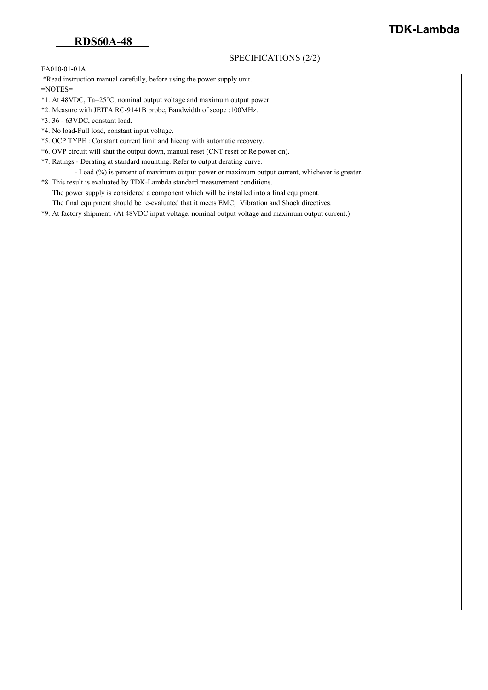### SPECIFICATIONS (2/2)

# **TDK-Lambda**

#### FA010-01-01A

\*Read instruction manual carefully, before using the power supply unit.

=NOTES=

- \*1. At 48VDC, Ta=25°C, nominal output voltage and maximum output power.
- \*2. Measure with JEITA RC-9141B probe, Bandwidth of scope :100MHz.
- \*3. 36 63VDC, constant load.
- \*4. No load-Full load, constant input voltage.
- \*5. OCP TYPE : Constant current limit and hiccup with automatic recovery.
- \*6. OVP circuit will shut the output down, manual reset (CNT reset or Re power on).
- \*7. Ratings Derating at standard mounting. Refer to output derating curve.
	- Load (%) is percent of maximum output power or maximum output current, whichever is greater.
- \*8. This result is evaluated by TDK-Lambda standard measurement conditions. The power supply is considered a component which will be installed into a final equipment. The final equipment should be re-evaluated that it meets EMC, Vibration and Shock directives.
- \*9. At factory shipment. (At 48VDC input voltage, nominal output voltage and maximum output current.)